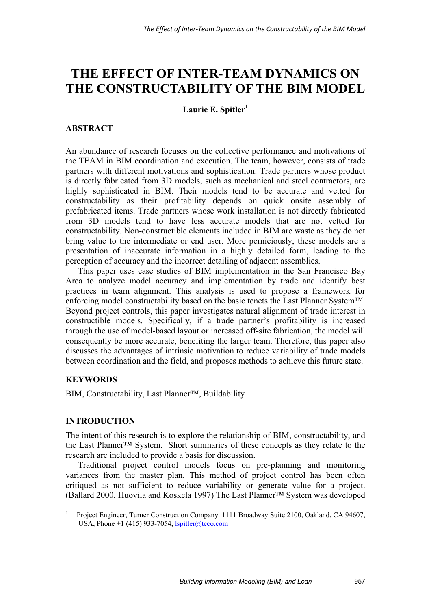# **THE EFFECT OF INTER-TEAM DYNAMICS ON THE CONSTRUCTABILITY OF THE BIM MODEL**

Laurie E. Spitler<sup>1</sup>

## **ABSTRACT**

An abundance of research focuses on the collective performance and motivations of the TEAM in BIM coordination and execution. The team, however, consists of trade partners with different motivations and sophistication. Trade partners whose product is directly fabricated from 3D models, such as mechanical and steel contractors, are highly sophisticated in BIM. Their models tend to be accurate and vetted for constructability as their profitability depends on quick onsite assembly of prefabricated items. Trade partners whose work installation is not directly fabricated from 3D models tend to have less accurate models that are not vetted for constructability. Non-constructible elements included in BIM are waste as they do not bring value to the intermediate or end user. More perniciously, these models are a presentation of inaccurate information in a highly detailed form, leading to the perception of accuracy and the incorrect detailing of adjacent assemblies.

This paper uses case studies of BIM implementation in the San Francisco Bay Area to analyze model accuracy and implementation by trade and identify best practices in team alignment. This analysis is used to propose a framework for enforcing model constructability based on the basic tenets the Last Planner System™. Beyond project controls, this paper investigates natural alignment of trade interest in constructible models. Specifically, if a trade partner's profitability is increased through the use of model-based layout or increased off-site fabrication, the model will consequently be more accurate, benefiting the larger team. Therefore, this paper also discusses the advantages of intrinsic motivation to reduce variability of trade models between coordination and the field, and proposes methods to achieve this future state.

## **KEYWORDS**

-

BIM, Constructability, Last Planner™, Buildability

## **INTRODUCTION**

The intent of this research is to explore the relationship of BIM, constructability, and the Last Planner™ System. Short summaries of these concepts as they relate to the research are included to provide a basis for discussion.

Traditional project control models focus on pre-planning and monitoring variances from the master plan. This method of project control has been often critiqued as not sufficient to reduce variability or generate value for a project. (Ballard 2000, Huovila and Koskela 1997) The Last Planner™ System was developed

<sup>1</sup> Project Engineer, Turner Construction Company. 1111 Broadway Suite 2100, Oakland, CA 94607, USA, Phone +1 (415) 933-7054,  $lspitle@tceo.com$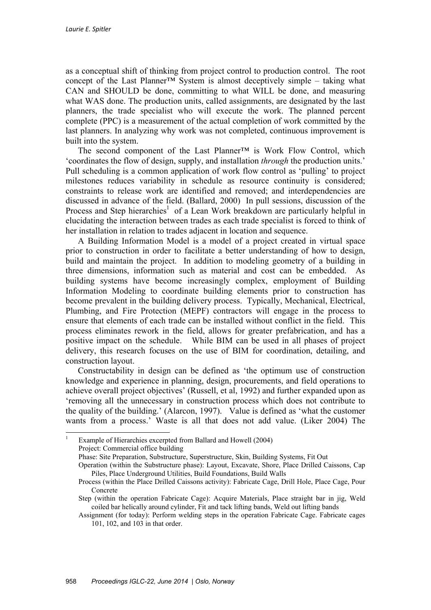as a conceptual shift of thinking from project control to production control. The root concept of the Last Planner™ System is almost deceptively simple – taking what CAN and SHOULD be done, committing to what WILL be done, and measuring what WAS done. The production units, called assignments, are designated by the last planners, the trade specialist who will execute the work. The planned percent complete (PPC) is a measurement of the actual completion of work committed by the last planners. In analyzing why work was not completed, continuous improvement is built into the system.

The second component of the Last Planner™ is Work Flow Control, which 'coordinates the flow of design, supply, and installation *through* the production units.' Pull scheduling is a common application of work flow control as 'pulling' to project milestones reduces variability in schedule as resource continuity is considered; constraints to release work are identified and removed; and interdependencies are discussed in advance of the field. (Ballard, 2000) In pull sessions, discussion of the Process and Step hierarchies<sup>1</sup> of a Lean Work breakdown are particularly helpful in elucidating the interaction between trades as each trade specialist is forced to think of her installation in relation to trades adjacent in location and sequence.

A Building Information Model is a model of a project created in virtual space prior to construction in order to facilitate a better understanding of how to design, build and maintain the project. In addition to modeling geometry of a building in three dimensions, information such as material and cost can be embedded. As building systems have become increasingly complex, employment of Building Information Modeling to coordinate building elements prior to construction has become prevalent in the building delivery process. Typically, Mechanical, Electrical, Plumbing, and Fire Protection (MEPF) contractors will engage in the process to ensure that elements of each trade can be installed without conflict in the field. This process eliminates rework in the field, allows for greater prefabrication, and has a positive impact on the schedule. While BIM can be used in all phases of project delivery, this research focuses on the use of BIM for coordination, detailing, and construction layout.

Constructability in design can be defined as 'the optimum use of construction knowledge and experience in planning, design, procurements, and field operations to achieve overall project objectives' (Russell, et al, 1992) and further expanded upon as 'removing all the unnecessary in construction process which does not contribute to the quality of the building.' (Alarcon, 1997). Value is defined as 'what the customer wants from a process.' Waste is all that does not add value. (Liker 2004) The

Phase: Site Preparation, Substructure, Superstructure, Skin, Building Systems, Fit Out

 $\frac{1}{1}$  Example of Hierarchies excerpted from Ballard and Howell (2004) Project: Commercial office building

Operation (within the Substructure phase): Layout, Excavate, Shore, Place Drilled Caissons, Cap Piles, Place Underground Utilities, Build Foundations, Build Walls

Process (within the Place Drilled Caissons activity): Fabricate Cage, Drill Hole, Place Cage, Pour Concrete

Step (within the operation Fabricate Cage): Acquire Materials, Place straight bar in jig, Weld coiled bar helically around cylinder, Fit and tack lifting bands, Weld out lifting bands

Assignment (for today): Perform welding steps in the operation Fabricate Cage. Fabricate cages 101, 102, and 103 in that order.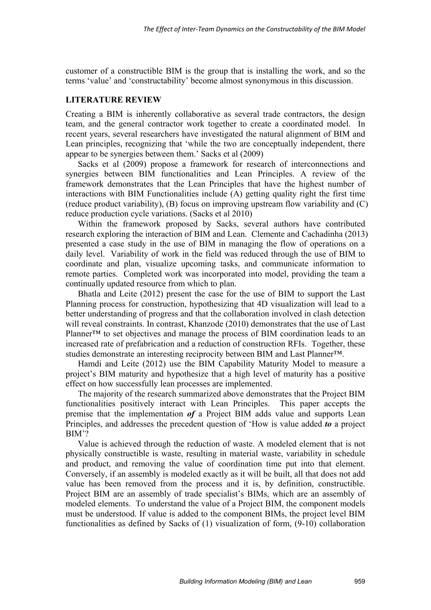customer of a constructible BIM is the group that is installing the work, and so the terms 'value' and 'constructability' become almost synonymous in this discussion.

#### **LITERATURE REVIEW**

Creating a BIM is inherently collaborative as several trade contractors, the design team, and the general contractor work together to create a coordinated model. In recent years, several researchers have investigated the natural alignment of BIM and Lean principles, recognizing that 'while the two are conceptually independent, there appear to be synergies between them.' Sacks et al (2009)

Sacks et al (2009) propose a framework for research of interconnections and synergies between BIM functionalities and Lean Principles. A review of the framework demonstrates that the Lean Principles that have the highest number of interactions with BIM Functionalities include (A) getting quality right the first time (reduce product variability), (B) focus on improving upstream flow variability and (C) reduce production cycle variations. (Sacks et al 2010)

Within the framework proposed by Sacks, several authors have contributed research exploring the interaction of BIM and Lean. Clemente and Cachadinha (2013) presented a case study in the use of BIM in managing the flow of operations on a daily level. Variability of work in the field was reduced through the use of BIM to coordinate and plan, visualize upcoming tasks, and communicate information to remote parties. Completed work was incorporated into model, providing the team a continually updated resource from which to plan.

Bhatla and Leite (2012) present the case for the use of BIM to support the Last Planning process for construction, hypothesizing that 4D visualization will lead to a better understanding of progress and that the collaboration involved in clash detection will reveal constraints. In contrast, Khanzode (2010) demonstrates that the use of Last Planner™ to set objectives and manage the process of BIM coordination leads to an increased rate of prefabrication and a reduction of construction RFIs. Together, these studies demonstrate an interesting reciprocity between BIM and Last Planner™.

Hamdi and Leite (2012) use the BIM Capability Maturity Model to measure a project's BIM maturity and hypothesize that a high level of maturity has a positive effect on how successfully lean processes are implemented.

The majority of the research summarized above demonstrates that the Project BIM functionalities positively interact with Lean Principles. This paper accepts the premise that the implementation *of* a Project BIM adds value and supports Lean Principles, and addresses the precedent question of 'How is value added *to* a project BIM'?

Value is achieved through the reduction of waste. A modeled element that is not physically constructible is waste, resulting in material waste, variability in schedule and product, and removing the value of coordination time put into that element. Conversely, if an assembly is modeled exactly as it will be built, all that does not add value has been removed from the process and it is, by definition, constructible. Project BIM are an assembly of trade specialist's BIMs, which are an assembly of modeled elements. To understand the value of a Project BIM, the component models must be understood. If value is added to the component BIMs, the project level BIM functionalities as defined by Sacks of (1) visualization of form, (9-10) collaboration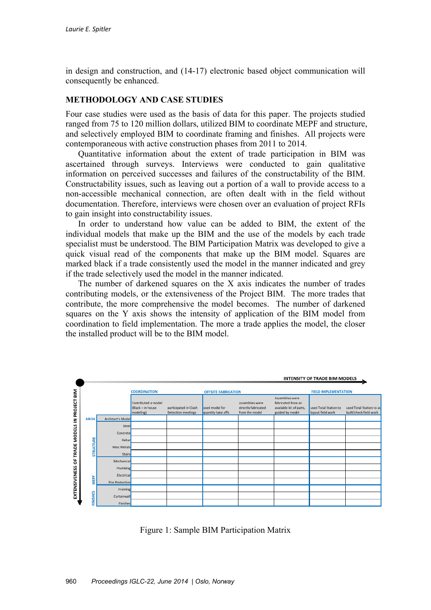in design and construction, and (14-17) electronic based object communication will consequently be enhanced.

### **METHODOLOGY AND CASE STUDIES**

Four case studies were used as the basis of data for this paper. The projects studied ranged from 75 to 120 million dollars, utilized BIM to coordinate MEPF and structure, and selectively employed BIM to coordinate framing and finishes. All projects were contemporaneous with active construction phases from 2011 to 2014.

Quantitative information about the extent of trade participation in BIM was ascertained through surveys. Interviews were conducted to gain qualitative information on perceived successes and failures of the constructability of the BIM. Constructability issues, such as leaving out a portion of a wall to provide access to a non-accessible mechanical connection, are often dealt with in the field without documentation. Therefore, interviews were chosen over an evaluation of project RFIs to gain insight into constructability issues.

In order to understand how value can be added to BIM, the extent of the individual models that make up the BIM and the use of the models by each trade specialist must be understood. The BIM Participation Matrix was developed to give a quick visual read of the components that make up the BIM model. Squares are marked black if a trade consistently used the model in the manner indicated and grey if the trade selectively used the model in the manner indicated.

The number of darkened squares on the X axis indicates the number of trades contributing models, or the extensiveness of the Project BIM. The more trades that contribute, the more comprehensive the model becomes. The number of darkened squares on the Y axis shows the intensity of application of the BIM model from coordination to field implementation. The more a trade applies the model, the closer the installed product will be to the BIM model.



Figure 1: Sample BIM Participation Matrix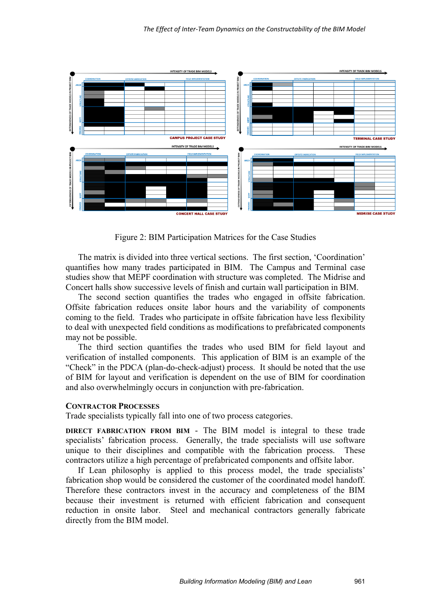

Figure 2: BIM Participation Matrices for the Case Studies

The matrix is divided into three vertical sections. The first section, 'Coordination' quantifies how many trades participated in BIM. The Campus and Terminal case studies show that MEPF coordination with structure was completed. The Midrise and Concert halls show successive levels of finish and curtain wall participation in BIM.

The second section quantifies the trades who engaged in offsite fabrication. Offsite fabrication reduces onsite labor hours and the variability of components coming to the field. Trades who participate in offsite fabrication have less flexibility to deal with unexpected field conditions as modifications to prefabricated components may not be possible.

The third section quantifies the trades who used BIM for field layout and verification of installed components. This application of BIM is an example of the "Check" in the PDCA (plan-do-check-adjust) process. It should be noted that the use of BIM for layout and verification is dependent on the use of BIM for coordination and also overwhelmingly occurs in conjunction with pre-fabrication.

#### **CONTRACTOR PROCESSES**

Trade specialists typically fall into one of two process categories.

**DIRECT FABRICATION FROM BIM** - The BIM model is integral to these trade specialists' fabrication process. Generally, the trade specialists will use software unique to their disciplines and compatible with the fabrication process. These contractors utilize a high percentage of prefabricated components and offsite labor.

If Lean philosophy is applied to this process model, the trade specialists' fabrication shop would be considered the customer of the coordinated model handoff. Therefore these contractors invest in the accuracy and completeness of the BIM because their investment is returned with efficient fabrication and consequent reduction in onsite labor. Steel and mechanical contractors generally fabricate directly from the BIM model.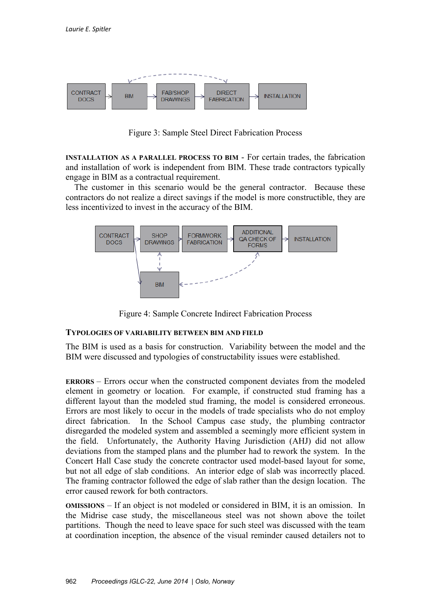

Figure 3: Sample Steel Direct Fabrication Process

**INSTALLATION AS A PARALLEL PROCESS TO BIM** - For certain trades, the fabrication and installation of work is independent from BIM. These trade contractors typically engage in BIM as a contractual requirement.

 The customer in this scenario would be the general contractor. Because these contractors do not realize a direct savings if the model is more constructible, they are less incentivized to invest in the accuracy of the BIM.



Figure 4: Sample Concrete Indirect Fabrication Process

## **TYPOLOGIES OF VARIABILITY BETWEEN BIM AND FIELD**

The BIM is used as a basis for construction. Variability between the model and the BIM were discussed and typologies of constructability issues were established.

**ERRORS** – Errors occur when the constructed component deviates from the modeled element in geometry or location. For example, if constructed stud framing has a different layout than the modeled stud framing, the model is considered erroneous. Errors are most likely to occur in the models of trade specialists who do not employ direct fabrication. In the School Campus case study, the plumbing contractor disregarded the modeled system and assembled a seemingly more efficient system in the field. Unfortunately, the Authority Having Jurisdiction (AHJ) did not allow deviations from the stamped plans and the plumber had to rework the system. In the Concert Hall Case study the concrete contractor used model-based layout for some, but not all edge of slab conditions. An interior edge of slab was incorrectly placed. The framing contractor followed the edge of slab rather than the design location. The error caused rework for both contractors.

**OMISSIONS** – If an object is not modeled or considered in BIM, it is an omission. In the Midrise case study, the miscellaneous steel was not shown above the toilet partitions. Though the need to leave space for such steel was discussed with the team at coordination inception, the absence of the visual reminder caused detailers not to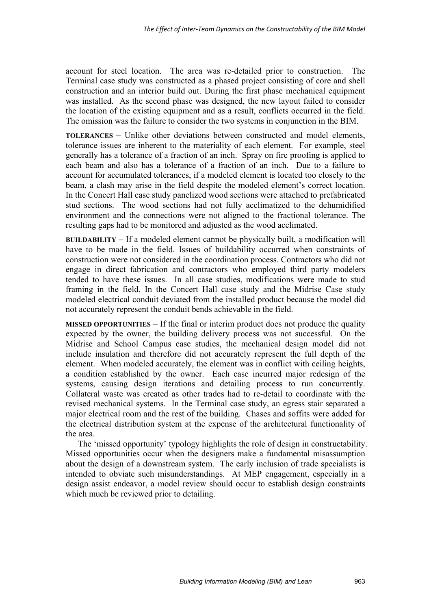account for steel location. The area was re-detailed prior to construction. The Terminal case study was constructed as a phased project consisting of core and shell construction and an interior build out. During the first phase mechanical equipment was installed. As the second phase was designed, the new layout failed to consider the location of the existing equipment and as a result, conflicts occurred in the field. The omission was the failure to consider the two systems in conjunction in the BIM.

**TOLERANCES** – Unlike other deviations between constructed and model elements, tolerance issues are inherent to the materiality of each element. For example, steel generally has a tolerance of a fraction of an inch. Spray on fire proofing is applied to each beam and also has a tolerance of a fraction of an inch. Due to a failure to account for accumulated tolerances, if a modeled element is located too closely to the beam, a clash may arise in the field despite the modeled element's correct location. In the Concert Hall case study panelized wood sections were attached to prefabricated stud sections. The wood sections had not fully acclimatized to the dehumidified environment and the connections were not aligned to the fractional tolerance. The resulting gaps had to be monitored and adjusted as the wood acclimated.

**BUILDABILITY** – If a modeled element cannot be physically built, a modification will have to be made in the field. Issues of buildability occurred when constraints of construction were not considered in the coordination process. Contractors who did not engage in direct fabrication and contractors who employed third party modelers tended to have these issues. In all case studies, modifications were made to stud framing in the field. In the Concert Hall case study and the Midrise Case study modeled electrical conduit deviated from the installed product because the model did not accurately represent the conduit bends achievable in the field.

**MISSED OPPORTUNITIES** – If the final or interim product does not produce the quality expected by the owner, the building delivery process was not successful. On the Midrise and School Campus case studies, the mechanical design model did not include insulation and therefore did not accurately represent the full depth of the element. When modeled accurately, the element was in conflict with ceiling heights, a condition established by the owner. Each case incurred major redesign of the systems, causing design iterations and detailing process to run concurrently. Collateral waste was created as other trades had to re-detail to coordinate with the revised mechanical systems. In the Terminal case study, an egress stair separated a major electrical room and the rest of the building. Chases and soffits were added for the electrical distribution system at the expense of the architectural functionality of the area.

The 'missed opportunity' typology highlights the role of design in constructability. Missed opportunities occur when the designers make a fundamental misassumption about the design of a downstream system. The early inclusion of trade specialists is intended to obviate such misunderstandings. At MEP engagement, especially in a design assist endeavor, a model review should occur to establish design constraints which much be reviewed prior to detailing.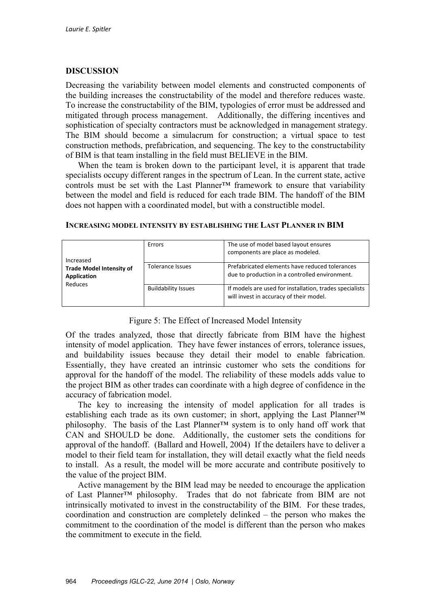## **DISCUSSION**

Decreasing the variability between model elements and constructed components of the building increases the constructability of the model and therefore reduces waste. To increase the constructability of the BIM, typologies of error must be addressed and mitigated through process management. Additionally, the differing incentives and sophistication of specialty contractors must be acknowledged in management strategy. The BIM should become a simulacrum for construction; a virtual space to test construction methods, prefabrication, and sequencing. The key to the constructability of BIM is that team installing in the field must BELIEVE in the BIM.

When the team is broken down to the participant level, it is apparent that trade specialists occupy different ranges in the spectrum of Lean. In the current state, active controls must be set with the Last Planner™ framework to ensure that variability between the model and field is reduced for each trade BIM. The handoff of the BIM does not happen with a coordinated model, but with a constructible model.

| Increased<br><b>Trade Model Intensity of</b><br>Application<br>Reduces | Errors                     | The use of model based layout ensures<br>components are place as modeled.                          |
|------------------------------------------------------------------------|----------------------------|----------------------------------------------------------------------------------------------------|
|                                                                        | Tolerance Issues           | Prefabricated elements have reduced tolerances<br>due to production in a controlled environment.   |
|                                                                        | <b>Buildability Issues</b> | If models are used for installation, trades specialists<br>will invest in accuracy of their model. |

#### **INCREASING MODEL INTENSITY BY ESTABLISHING THE LAST PLANNER IN BIM**

Figure 5: The Effect of Increased Model Intensity

Of the trades analyzed, those that directly fabricate from BIM have the highest intensity of model application. They have fewer instances of errors, tolerance issues, and buildability issues because they detail their model to enable fabrication. Essentially, they have created an intrinsic customer who sets the conditions for approval for the handoff of the model. The reliability of these models adds value to the project BIM as other trades can coordinate with a high degree of confidence in the accuracy of fabrication model.

The key to increasing the intensity of model application for all trades is establishing each trade as its own customer; in short, applying the Last Planner™ philosophy. The basis of the Last Planner™ system is to only hand off work that CAN and SHOULD be done. Additionally, the customer sets the conditions for approval of the handoff. (Ballard and Howell, 2004) If the detailers have to deliver a model to their field team for installation, they will detail exactly what the field needs to install. As a result, the model will be more accurate and contribute positively to the value of the project BIM.

Active management by the BIM lead may be needed to encourage the application of Last Planner™ philosophy. Trades that do not fabricate from BIM are not intrinsically motivated to invest in the constructability of the BIM. For these trades, coordination and construction are completely delinked – the person who makes the commitment to the coordination of the model is different than the person who makes the commitment to execute in the field.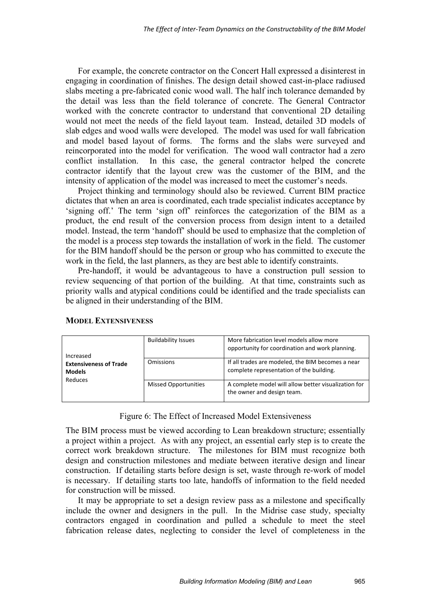For example, the concrete contractor on the Concert Hall expressed a disinterest in engaging in coordination of finishes. The design detail showed cast-in-place radiused slabs meeting a pre-fabricated conic wood wall. The half inch tolerance demanded by the detail was less than the field tolerance of concrete. The General Contractor worked with the concrete contractor to understand that conventional 2D detailing would not meet the needs of the field layout team. Instead, detailed 3D models of slab edges and wood walls were developed. The model was used for wall fabrication and model based layout of forms. The forms and the slabs were surveyed and reincorporated into the model for verification. The wood wall contractor had a zero conflict installation. In this case, the general contractor helped the concrete contractor identify that the layout crew was the customer of the BIM, and the intensity of application of the model was increased to meet the customer's needs.

Project thinking and terminology should also be reviewed. Current BIM practice dictates that when an area is coordinated, each trade specialist indicates acceptance by 'signing off.' The term 'sign off' reinforces the categorization of the BIM as a product, the end result of the conversion process from design intent to a detailed model. Instead, the term 'handoff' should be used to emphasize that the completion of the model is a process step towards the installation of work in the field. The customer for the BIM handoff should be the person or group who has committed to execute the work in the field, the last planners, as they are best able to identify constraints.

Pre-handoff, it would be advantageous to have a construction pull session to review sequencing of that portion of the building. At that time, constraints such as priority walls and atypical conditions could be identified and the trade specialists can be aligned in their understanding of the BIM.

| Increased<br><b>Extensiveness of Trade</b><br><b>Models</b><br>Reduces | <b>Buildability Issues</b>  | More fabrication level models allow more<br>opportunity for coordination and work planning.   |
|------------------------------------------------------------------------|-----------------------------|-----------------------------------------------------------------------------------------------|
|                                                                        | Omissions                   | If all trades are modeled, the BIM becomes a near<br>complete representation of the building. |
|                                                                        | <b>Missed Opportunities</b> | A complete model will allow better visualization for<br>the owner and design team.            |

## **MODEL EXTENSIVENESS**

#### Figure 6: The Effect of Increased Model Extensiveness

The BIM process must be viewed according to Lean breakdown structure; essentially a project within a project. As with any project, an essential early step is to create the correct work breakdown structure. The milestones for BIM must recognize both design and construction milestones and mediate between iterative design and linear construction. If detailing starts before design is set, waste through re-work of model is necessary. If detailing starts too late, handoffs of information to the field needed for construction will be missed.

It may be appropriate to set a design review pass as a milestone and specifically include the owner and designers in the pull. In the Midrise case study, specialty contractors engaged in coordination and pulled a schedule to meet the steel fabrication release dates, neglecting to consider the level of completeness in the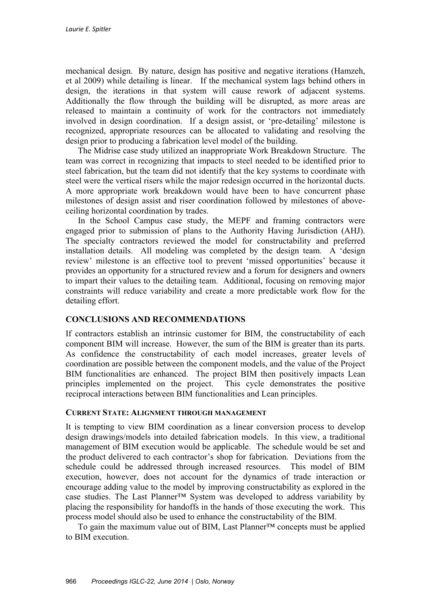mechanical design. By nature, design has positive and negative iterations (Hamzeh, et al 2009) while detailing is linear. If the mechanical system lags behind others in design, the iterations in that system will cause rework of adjacent systems. Additionally the flow through the building will be disrupted, as more areas are released to maintain a continuity of work for the contractors not immediately involved in design coordination. If a design assist, or 'pre-detailing' milestone is recognized, appropriate resources can be allocated to validating and resolving the design prior to producing a fabrication level model of the building.

The Midrise case study utilized an inappropriate Work Breakdown Structure. The team was correct in recognizing that impacts to steel needed to be identified prior to steel fabrication, but the team did not identify that the key systems to coordinate with steel were the vertical risers while the major redesign occurred in the horizontal ducts. A more appropriate work breakdown would have been to have concurrent phase milestones of design assist and riser coordination followed by milestones of aboveceiling horizontal coordination by trades.

In the School Campus case study, the MEPF and framing contractors were engaged prior to submission of plans to the Authority Having Jurisdiction (AHJ). The specialty contractors reviewed the model for constructability and preferred installation details. All modeling was completed by the design team. A 'design review' milestone is an effective tool to prevent 'missed opportunities' because it provides an opportunity for a structured review and a forum for designers and owners to impart their values to the detailing team. Additional, focusing on removing major constraints will reduce variability and create a more predictable work flow for the detailing effort.

## **CONCLUSIONS AND RECOMMENDATIONS**

If contractors establish an intrinsic customer for BIM, the constructability of each component BIM will increase. However, the sum of the BIM is greater than its parts. As confidence the constructability of each model increases, greater levels of coordination are possible between the component models, and the value of the Project BIM functionalities are enhanced. The project BIM then positively impacts Lean principles implemented on the project. This cycle demonstrates the positive reciprocal interactions between BIM functionalities and Lean principles.

#### **CURRENT STATE: ALIGNMENT THROUGH MANAGEMENT**

It is tempting to view BIM coordination as a linear conversion process to develop design drawings/models into detailed fabrication models. In this view, a traditional management of BIM execution would be applicable. The schedule would be set and the product delivered to each contractor's shop for fabrication. Deviations from the schedule could be addressed through increased resources. This model of BIM execution, however, does not account for the dynamics of trade interaction or encourage adding value to the model by improving constructability as explored in the case studies. The Last Planner™ System was developed to address variability by placing the responsibility for handoffs in the hands of those executing the work. This process model should also be used to enhance the constructability of the BIM.

To gain the maximum value out of BIM, Last Planner™ concepts must be applied to BIM execution.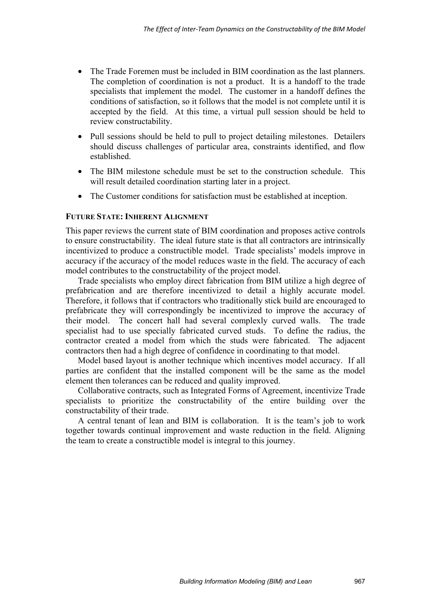- The Trade Foremen must be included in BIM coordination as the last planners. The completion of coordination is not a product. It is a handoff to the trade specialists that implement the model. The customer in a handoff defines the conditions of satisfaction, so it follows that the model is not complete until it is accepted by the field. At this time, a virtual pull session should be held to review constructability.
- Pull sessions should be held to pull to project detailing milestones. Detailers should discuss challenges of particular area, constraints identified, and flow established.
- The BIM milestone schedule must be set to the construction schedule. This will result detailed coordination starting later in a project.
- The Customer conditions for satisfaction must be established at inception.

#### **FUTURE STATE: INHERENT ALIGNMENT**

This paper reviews the current state of BIM coordination and proposes active controls to ensure constructability. The ideal future state is that all contractors are intrinsically incentivized to produce a constructible model. Trade specialists' models improve in accuracy if the accuracy of the model reduces waste in the field. The accuracy of each model contributes to the constructability of the project model.

Trade specialists who employ direct fabrication from BIM utilize a high degree of prefabrication and are therefore incentivized to detail a highly accurate model. Therefore, it follows that if contractors who traditionally stick build are encouraged to prefabricate they will correspondingly be incentivized to improve the accuracy of their model. The concert hall had several complexly curved walls. The trade specialist had to use specially fabricated curved studs. To define the radius, the contractor created a model from which the studs were fabricated. The adjacent contractors then had a high degree of confidence in coordinating to that model.

Model based layout is another technique which incentives model accuracy. If all parties are confident that the installed component will be the same as the model element then tolerances can be reduced and quality improved.

Collaborative contracts, such as Integrated Forms of Agreement, incentivize Trade specialists to prioritize the constructability of the entire building over the constructability of their trade.

A central tenant of lean and BIM is collaboration. It is the team's job to work together towards continual improvement and waste reduction in the field. Aligning the team to create a constructible model is integral to this journey.